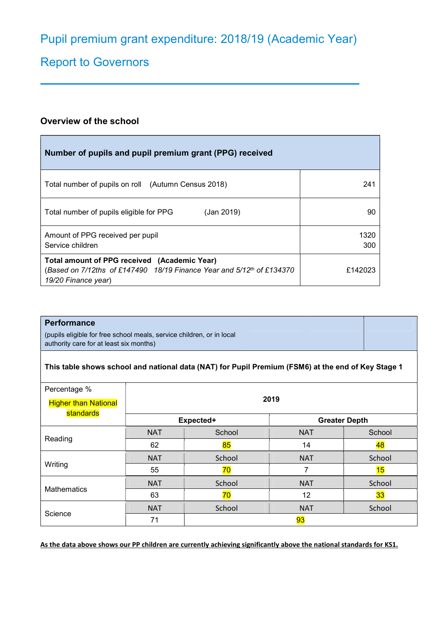# Report to Governors

## Overview of the school

| Number of pupils and pupil premium grant (PPG) received                                                                                      |             |
|----------------------------------------------------------------------------------------------------------------------------------------------|-------------|
| Total number of pupils on roll (Autumn Census 2018)                                                                                          | 241         |
| (Jan 2019)<br>Total number of pupils eligible for PPG                                                                                        | 90          |
| Amount of PPG received per pupil<br>Service children                                                                                         | 1320<br>300 |
| Total amount of PPG received (Academic Year)<br>(Based on 7/12ths of £147490 18/19 Finance Year and 5/12th of £134370<br>19/20 Finance year) | £142023     |

| <b>Performance</b><br>authority care for at least six months)                                      | (pupils eligible for free school meals, service children, or in local |  |  |
|----------------------------------------------------------------------------------------------------|-----------------------------------------------------------------------|--|--|
| This table shows school and national data (NAT) for Pupil Premium (FSM6) at the end of Key Stage 1 |                                                                       |  |  |
| Percentage %                                                                                       | 2019                                                                  |  |  |
| <b>Higher than National</b><br><b>Contract of the Contract of Con-</b>                             |                                                                       |  |  |

| standards   |            |        |                      |        |
|-------------|------------|--------|----------------------|--------|
|             | Expected+  |        | <b>Greater Depth</b> |        |
|             | <b>NAT</b> | School | <b>NAT</b>           | School |
| Reading     | 62         | 85     | 14                   | 48     |
| Writing     | <b>NAT</b> | School | <b>NAT</b>           | School |
|             | 55         | 70     |                      | 15     |
|             | <b>NAT</b> | School | <b>NAT</b>           | School |
| Mathematics | 63         | 70     | 12                   | 33     |
|             | <b>NAT</b> | School | <b>NAT</b>           | School |
| Science     | 71         |        | 93                   |        |

As the data above shows our PP children are currently achieving significantly above the national standards for KS1.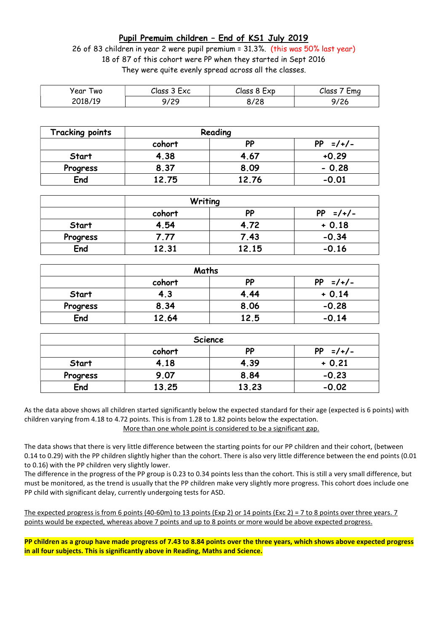## Pupil Premuim children – End of KS1 July 2019

26 of 83 children in year 2 were pupil premium = 31.3%. (this was 50% last year) 18 of 87 of this cohort were PP when they started in Sept 2016 They were quite evenly spread across all the classes.

| year<br>wo | Class 3 Exc | Class 8 Exp | Class<br>Ema |
|------------|-------------|-------------|--------------|
| 2018/19    | 120         | /28         | $\sqrt{2}$   |
|            | ,,          | 07          | 97 Z O       |

| <b>Tracking points</b> | Reading |       |                 |
|------------------------|---------|-------|-----------------|
|                        | cohort  | PP    | PP.<br>$=$ /+/- |
| Start                  | 4.38    | 4.67  | $+0.29$         |
| Progress               | 8.37    | 8.09  | $-0.28$         |
| End                    | 12.75   | 12.76 | $-0.01$         |

| Writing  |        |       |            |
|----------|--------|-------|------------|
|          | cohort | PP    | $PP =/+/-$ |
| Start    | 4.54   | 4.72  | $+0.18$    |
| Progress | 7.77   | 7.43  | $-0.34$    |
| End      | 12.31  | 12.15 | $-0.16$    |

| Maths    |        |           |            |
|----------|--------|-----------|------------|
|          | cohort | <b>PP</b> | $PP =/+/-$ |
| Start    | 4.3    | 4.44      | $+0.14$    |
| Progress | 8.34   | 8.06      | $-0.28$    |
| End      | 12.64  | 12.5      | $-0.14$    |

| Science      |                                 |       |         |  |
|--------------|---------------------------------|-------|---------|--|
|              | $=$ /+/-<br>PP<br>PP.<br>cohort |       |         |  |
| <b>Start</b> | 4.18                            | 4.39  | $+0.21$ |  |
| Progress     | 9.07                            | 8.84  | $-0.23$ |  |
| End          | 13.25                           | 13.23 | $-0.02$ |  |

As the data above shows all children started significantly below the expected standard for their age (expected is 6 points) with children varying from 4.18 to 4.72 points. This is from 1.28 to 1.82 points below the expectation. More than one whole point is considered to be a significant gap.

The data shows that there is very little difference between the starting points for our PP children and their cohort, (between 0.14 to 0.29) with the PP children slightly higher than the cohort. There is also very little difference between the end points (0.01 to 0.16) with the PP children very slightly lower.

The difference in the progress of the PP group is 0.23 to 0.34 points less than the cohort. This is still a very small difference, but must be monitored, as the trend is usually that the PP children make very slightly more progress. This cohort does include one PP child with significant delay, currently undergoing tests for ASD.

The expected progress is from 6 points (40-60m) to 13 points (Exp 2) or 14 points (Exc 2) = 7 to 8 points over three years. 7 points would be expected, whereas above 7 points and up to 8 points or more would be above expected progress.

PP children as a group have made progress of 7.43 to 8.84 points over the three years, which shows above expected progress in all four subjects. This is significantly above in Reading, Maths and Science.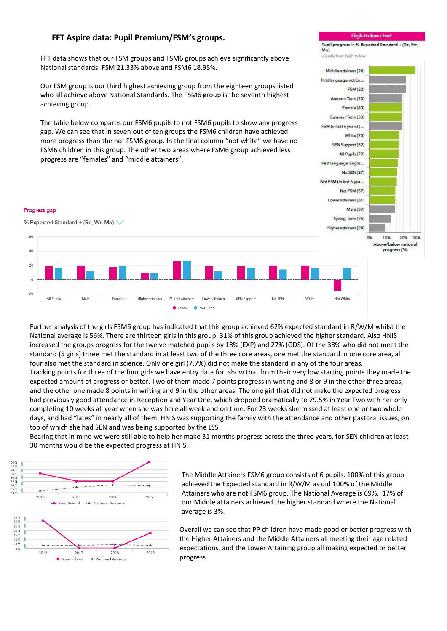## FFT Aspire data: Pupil Premium/FSM's groups.

FFT data shows that our FSM groups and FSM6 groups achieve significantly above National standards. FSM 21.33% above and FSM6 18.95%.

Our FSM group is our third highest achieving group from the eighteen groups listed who all achieve above National Standards. The FSM6 group is the seventh highest achieving group.

The table below compares our FSM6 pupils to not FSM6 pupils to show any progress gap. We can see that in seven out of ten groups the FSM6 children have achieved more progress than the not FSM6 group. In the final column "not white" we have no FSM6 children in this group. The other two areas where FSM6 group achieved less progress are "females" and "middle attainers".

#### Progress gap

% Expected Standard + (Re, Wr, Ma) V



Further analysis of the girls FSM6 group has indicated that this group achieved 62% expected standard in R/W/M whilst the National average is 56%. There are thirteen girls in this group. 31% of this group achieved the higher standard. Also HNIS increased the groups progress for the twelve matched pupils by 18% (EXP) and 27% (GDS). Of the 38% who did not meet the standard (5 girls) three met the standard in at least two of the three core areas, one met the standard in one core area, all four also met the standard in science. Only one girl (7.7%) did not make the standard in any of the four areas. Tracking points for three of the four girls we have entry data for, show that from their very low starting points they made the expected amount of progress or better. Two of them made 7 points progress in writing and 8 or 9 in the other three areas, and the other one made 8 points in writing and 9 in the other areas. The one girl that did not make the expected progress had previously good attendance in Reception and Year One, which dropped dramatically to 79.5% in Year Two with her only completing 10 weeks all year when she was here all week and on time. For 23 weeks she missed at least one or two whole days, and had "lates" in nearly all of them. HNIS was supporting the family with the attendance and other pastoral issues, on top of which she had SEN and was being supported by the LSS.

Bearing that in mind we were still able to help her make 31 months progress across the three years, for SEN children at least 30 months would be the expected progress at HNIS.



The Middle Attainers FSM6 group consists of 6 pupils. 100% of this group achieved the Expected standard in R/W/M as did 100% of the Middle Attainers who are not FSM6 group. The National Average is 69%. 17% of our Middle attainers achieved the higher standard where the National average is 3%.

 Overall we can see that PP children have made good or better progress with the Higher Attainers and the Middle Attainers all meeting their age related expectations, and the Lower Attaining group all making expected or better progress.

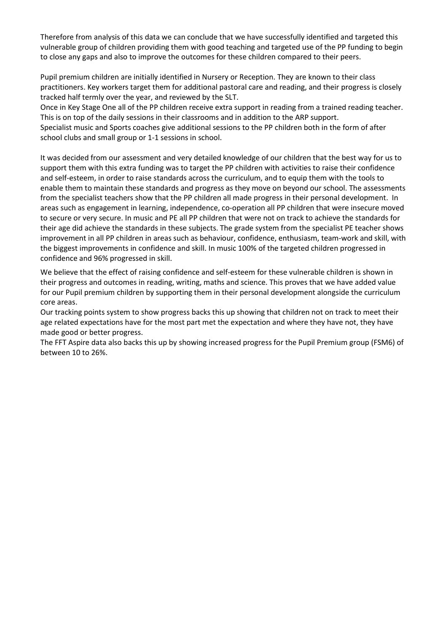Therefore from analysis of this data we can conclude that we have successfully identified and targeted this vulnerable group of children providing them with good teaching and targeted use of the PP funding to begin to close any gaps and also to improve the outcomes for these children compared to their peers.

Pupil premium children are initially identified in Nursery or Reception. They are known to their class practitioners. Key workers target them for additional pastoral care and reading, and their progress is closely tracked half termly over the year, and reviewed by the SLT.

Once in Key Stage One all of the PP children receive extra support in reading from a trained reading teacher. This is on top of the daily sessions in their classrooms and in addition to the ARP support.

Specialist music and Sports coaches give additional sessions to the PP children both in the form of after school clubs and small group or 1-1 sessions in school.

It was decided from our assessment and very detailed knowledge of our children that the best way for us to support them with this extra funding was to target the PP children with activities to raise their confidence and self-esteem, in order to raise standards across the curriculum, and to equip them with the tools to enable them to maintain these standards and progress as they move on beyond our school. The assessments from the specialist teachers show that the PP children all made progress in their personal development. In areas such as engagement in learning, independence, co-operation all PP children that were insecure moved to secure or very secure. In music and PE all PP children that were not on track to achieve the standards for their age did achieve the standards in these subjects. The grade system from the specialist PE teacher shows improvement in all PP children in areas such as behaviour, confidence, enthusiasm, team-work and skill, with the biggest improvements in confidence and skill. In music 100% of the targeted children progressed in confidence and 96% progressed in skill.

We believe that the effect of raising confidence and self-esteem for these vulnerable children is shown in their progress and outcomes in reading, writing, maths and science. This proves that we have added value for our Pupil premium children by supporting them in their personal development alongside the curriculum core areas.

Our tracking points system to show progress backs this up showing that children not on track to meet their age related expectations have for the most part met the expectation and where they have not, they have made good or better progress.

The FFT Aspire data also backs this up by showing increased progress for the Pupil Premium group (FSM6) of between 10 to 26%.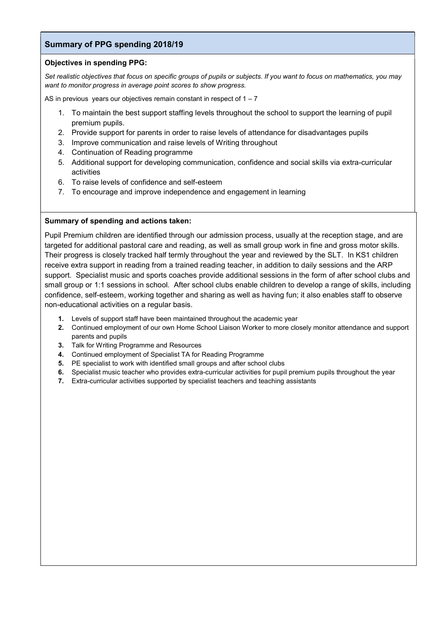## Summary of PPG spending 2018/19

### Objectives in spending PPG:

Set realistic objectives that focus on specific groups of pupils or subjects. If you want to focus on mathematics, you may want to monitor progress in average point scores to show progress.

AS in previous years our objectives remain constant in respect of  $1 - 7$ 

- 1. To maintain the best support staffing levels throughout the school to support the learning of pupil premium pupils.
- 2. Provide support for parents in order to raise levels of attendance for disadvantages pupils
- 3. Improve communication and raise levels of Writing throughout
- 4. Continuation of Reading programme
- 5. Additional support for developing communication, confidence and social skills via extra-curricular activities
- 6. To raise levels of confidence and self-esteem
- 7. To encourage and improve independence and engagement in learning

### Summary of spending and actions taken:

Pupil Premium children are identified through our admission process, usually at the reception stage, and are targeted for additional pastoral care and reading, as well as small group work in fine and gross motor skills. Their progress is closely tracked half termly throughout the year and reviewed by the SLT. In KS1 children receive extra support in reading from a trained reading teacher, in addition to daily sessions and the ARP support. Specialist music and sports coaches provide additional sessions in the form of after school clubs and small group or 1:1 sessions in school. After school clubs enable children to develop a range of skills, including confidence, self-esteem, working together and sharing as well as having fun; it also enables staff to observe non-educational activities on a regular basis.

- 1. Levels of support staff have been maintained throughout the academic year
- 2. Continued employment of our own Home School Liaison Worker to more closely monitor attendance and support parents and pupils
- 3. Talk for Writing Programme and Resources
- 4. Continued employment of Specialist TA for Reading Programme
- 5. PE specialist to work with identified small groups and after school clubs
- 6. Specialist music teacher who provides extra-curricular activities for pupil premium pupils throughout the year
- 7. Extra-curricular activities supported by specialist teachers and teaching assistants